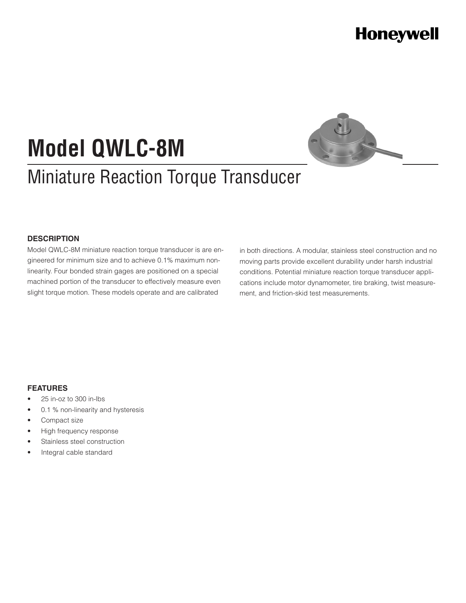# **Honeywell**

# **Model QWLC-8M**

# Miniature Reaction Torque Transducer

#### **DESCRIPTION**

Model QWLC-8M miniature reaction torque transducer is are engineered for minimum size and to achieve 0.1% maximum nonlinearity. Four bonded strain gages are positioned on a special machined portion of the transducer to effectively measure even slight torque motion. These models operate and are calibrated

in both directions. A modular, stainless steel construction and no moving parts provide excellent durability under harsh industrial conditions. Potential miniature reaction torque transducer applications include motor dynamometer, tire braking, twist measurement, and friction-skid test measurements.

#### **FEATURES**

- 25 in-oz to 300 in-lbs
- 0.1 % non-linearity and hysteresis
- Compact size
- High frequency response
- Stainless steel construction
- Integral cable standard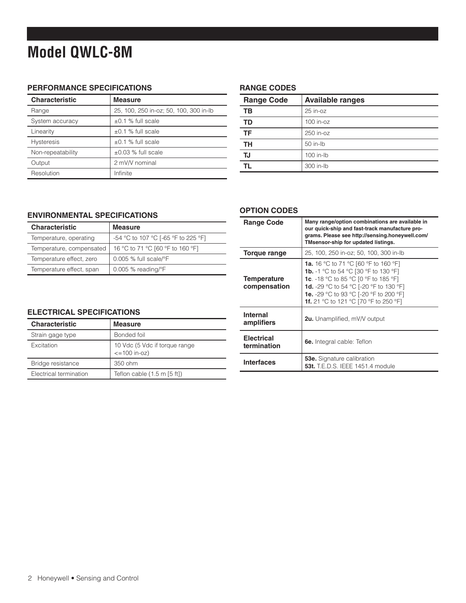# **Model QWLC-8M**

### **PERFORMANCE SPECIFICATIONS**

| <b>Characteristic</b> | <b>Measure</b>                         |
|-----------------------|----------------------------------------|
| Range                 | 25, 100, 250 in-oz; 50, 100, 300 in-lb |
| System accuracy       | $\pm 0.1$ % full scale                 |
| Linearity             | $±0.1$ % full scale                    |
| <b>Hysteresis</b>     | $\pm 0.1$ % full scale                 |
| Non-repeatability     | $\pm 0.03$ % full scale                |
| Output                | 2 mV/V nominal                         |
| Resolution            | Infinite                               |

#### **RANGE CODES**

| <b>Range Code</b> | <b>Available ranges</b> |
|-------------------|-------------------------|
| TВ                | $25$ in- $oz$           |
| TD                | $100$ in- $oz$          |
| <b>TF</b>         | 250 in-oz               |
| TH                | $50$ in-lb              |
| TJ                | $100$ in-lb             |
|                   | 300 in-lb               |

#### **ENVIRONMENTAL SPECIFICATIONS**

| Characteristic           | <b>Measure</b>                      |
|--------------------------|-------------------------------------|
| Temperature, operating   | -54 °C to 107 °C [-65 °F to 225 °F] |
| Temperature, compensated | 16 °C to 71 °C [60 °F to 160 °F]    |
| Temperature effect, zero | $0.005$ % full scale/ $\degree$ F   |
| Temperature effect, span | $0.005$ % reading/ $\degree$ F      |

#### **OPTION CODES**

| <b>Range Code</b>                  | Many range/option combinations are available in<br>our quick-ship and fast-track manufacture pro-<br>grams. Please see http://sensing.honeywell.com/<br>TMsensor-ship for updated listings.                                                                                                  |
|------------------------------------|----------------------------------------------------------------------------------------------------------------------------------------------------------------------------------------------------------------------------------------------------------------------------------------------|
| Torque range                       | 25, 100, 250 in-oz; 50, 100, 300 in-lb                                                                                                                                                                                                                                                       |
| <b>Temperature</b><br>compensation | <b>1a.</b> 16 °C to 71 °C [60 °F to 160 °F]<br><b>1b.</b> -1 °C to 54 °C [30 °F to 130 °F]<br><b>1c</b> . -18 °C to 85 °C [0 °F to 185 °F]<br><b>1d.</b> -29 °C to 54 °C [-20 °F to 130 °F]<br><b>1e.</b> -29 °C to 93 °C [-20 °F to 200 °F]<br><b>1f.</b> 21 °C to 121 °C [70 °F to 250 °F] |
| <b>Internal</b><br>amplifiers      | <b>2u.</b> Unamplified, mV/V output                                                                                                                                                                                                                                                          |
| <b>Electrical</b><br>termination   | <b>6e.</b> Integral cable: Teflon                                                                                                                                                                                                                                                            |
| <b>Interfaces</b>                  | <b>53e.</b> Signature calibration<br><b>53t.</b> T.E.D.S. IEEE 1451.4 module                                                                                                                                                                                                                 |

#### **ELECTRICAL SPECIFICATIONS**

| <b>Characteristic</b>  | <b>Measure</b>                                      |
|------------------------|-----------------------------------------------------|
| Strain gage type       | Bonded foil                                         |
| <b>Excitation</b>      | 10 Vdc (5 Vdc if torque range<br>$\le$ = 100 in-oz) |
| Bridge resistance      | 350 ohm                                             |
| Electrical termination | Teflon cable $(1.5 \text{ m} \, [5 \, \text{ft}])$  |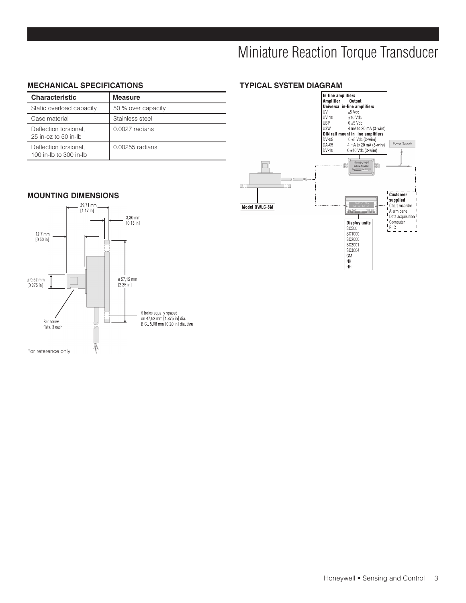## Miniature Reaction Torque Transducer

#### **MECHANICAL SPECIFICATIONS**

| <b>Characteristic</b>                                | <b>Measure</b>     |
|------------------------------------------------------|--------------------|
| Static overload capacity                             | 50 % over capacity |
| Case material                                        | Stainless steel    |
| Deflection torsional,<br>$25$ in- $oz$ to $50$ in-lb | $0.0027$ radians   |
| Deflection torsional,<br>100 in-lb to 300 in-lb      | 0.00255 radians    |



#### **MOUNTING DIMENSIONS**